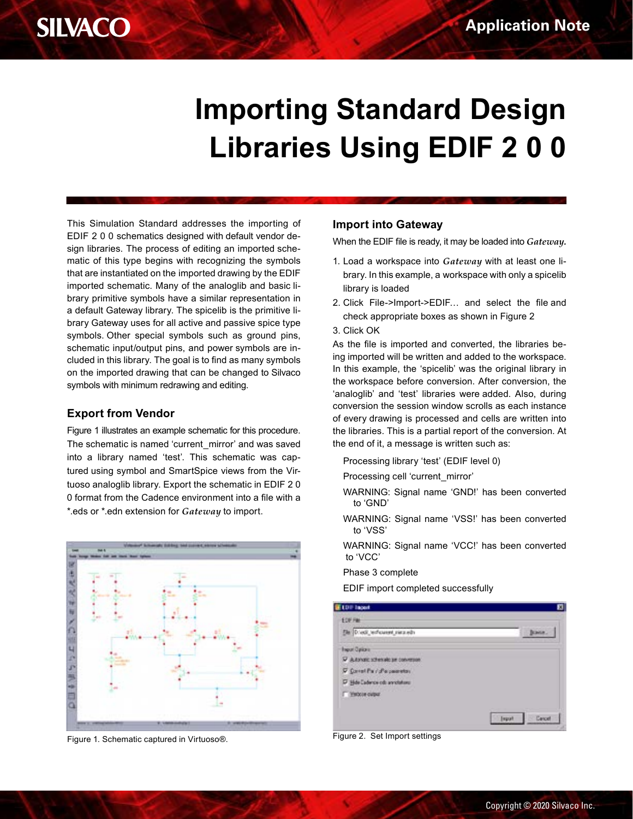

# **Importing Standard Design Libraries Using EDIF 2 0 0**

This Simulation Standard addresses the importing of EDIF 2 0 0 schematics designed with default vendor design libraries. The process of editing an imported schematic of this type begins with recognizing the symbols that are instantiated on the imported drawing by the EDIF imported schematic. Many of the analoglib and basic library primitive symbols have a similar representation in a default Gateway library. The spicelib is the primitive library Gateway uses for all active and passive spice type symbols. Other special symbols such as ground pins, schematic input/output pins, and power symbols are included in this library. The goal is to find as many symbols on the imported drawing that can be changed to Silvaco symbols with minimum redrawing and editing.

#### **Export from Vendor**

Figure 1 illustrates an example schematic for this procedure. The schematic is named 'current\_mirror' and was saved into a library named 'test'. This schematic was captured using symbol and SmartSpice views from the Virtuoso analoglib library. Export the schematic in EDIF 2 0 0 format from the Cadence environment into a file with a \*.eds or \*.edn extension for *Gateway* to import.



Figure 1. Schematic captured in Virtuoso®. Figure 2. Set Import settings

#### **Import into Gateway**

When the EDIF file is ready, it may be loaded into *Gateway.*

- 1. Load a workspace into *Gateway* with at least one library. In this example, a workspace with only a spicelib library is loaded
- 2. Click File->Import->EDIF… and select the file and check appropriate boxes as shown in Figure 2
- 3. Click OK

As the file is imported and converted, the libraries being imported will be written and added to the workspace. In this example, the 'spicelib' was the original library in the workspace before conversion. After conversion, the 'analoglib' and 'test' libraries were added. Also, during conversion the session window scrolls as each instance of every drawing is processed and cells are written into the libraries. This is a partial report of the conversion. At the end of it, a message is written such as:

- Processing library 'test' (EDIF level 0)
- Processing cell 'current\_mirror'
- WARNING: Signal name 'GND!' has been converted to 'GND'
- WARNING: Signal name 'VSS!' has been converted to 'VSS'
- WARNING: Signal name 'VCC!' has been converted to 'VCC'

Phase 3 complete

EDIF import completed successfully

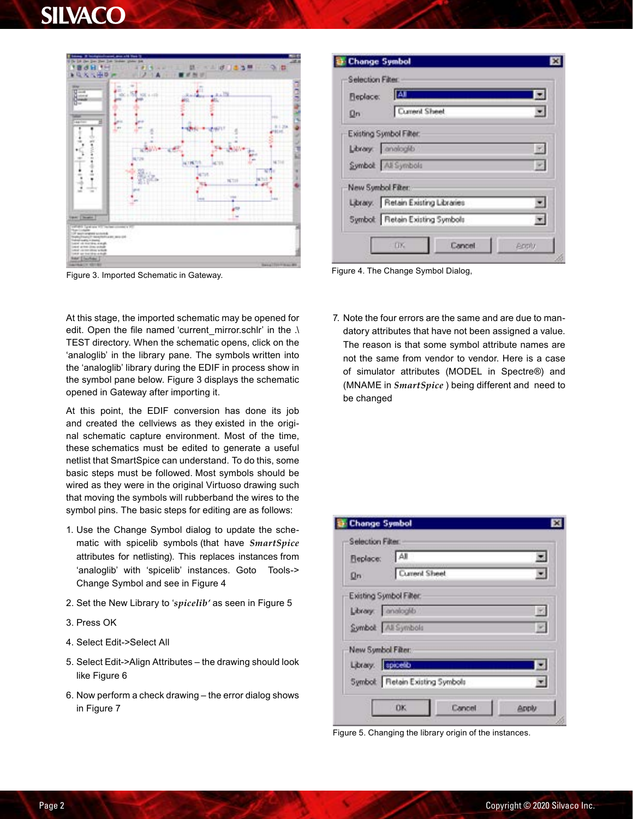# **SILVACC**



Figure 3. Imported Schematic in Gateway. Figure 4. The Change Symbol Dialog,

At this stage, the imported schematic may be opened for edit. Open the file named 'current\_mirror.schlr' in the .\ TEST directory. When the schematic opens, click on the 'analoglib' in the library pane. The symbols written into the 'analoglib' library during the EDIF in process show in the symbol pane below. Figure 3 displays the schematic opened in Gateway after importing it.

At this point, the EDIF conversion has done its job and created the cellviews as they existed in the original schematic capture environment. Most of the time, these schematics must be edited to generate a useful netlist that SmartSpice can understand. To do this, some basic steps must be followed. Most symbols should be wired as they were in the original Virtuoso drawing such that moving the symbols will rubberband the wires to the symbol pins. The basic steps for editing are as follows:

- 1. Use the Change Symbol dialog to update the schematic with spicelib symbols (that have *SmartSpice*  attributes for netlisting). This replaces instances from 'analoglib' with 'spicelib' instances. Goto Tools-> Change Symbol and see in Figure 4
- 2. Set the New Library to '*spicelib'* as seen in Figure 5
- 3. Press OK
- 4. Select Edit->Select All
- 5. Select Edit->Align Attributes the drawing should look like Figure 6
- 6. Now perform a check drawing the error dialog shows in Figure 7

| Fleplace:         | <b>AI</b>                          |  |
|-------------------|------------------------------------|--|
| <b>On</b>         | Current Sheet                      |  |
|                   | Existing Symbol Filter:            |  |
|                   | Library: analogib                  |  |
|                   | Symbol: All Symbols                |  |
| New Symbol Fiter: |                                    |  |
|                   | Library. Retain Existing Libraries |  |
|                   | Symbol: Retain Existing Symbols    |  |

7. Note the four errors are the same and are due to mandatory attributes that have not been assigned a value. The reason is that some symbol attribute names are not the same from vendor to vendor. Here is a case of simulator attributes (MODEL in Spectre®) and (MNAME in *SmartSpice* ) being different and need to be changed

| Fleplace:               | All                             | $\overline{\mathbf{z}}$ |
|-------------------------|---------------------------------|-------------------------|
| <b>On</b>               | Current Sheet                   |                         |
| Existing Symbol Filter: |                                 |                         |
| Library. analogib       |                                 |                         |
| Symbol: All Symbols     |                                 |                         |
| New Symbol Fiter:       |                                 |                         |
| Library. epicello       |                                 |                         |
|                         | Symbol: Retain Existing Symbols |                         |

Figure 5. Changing the library origin of the instances.